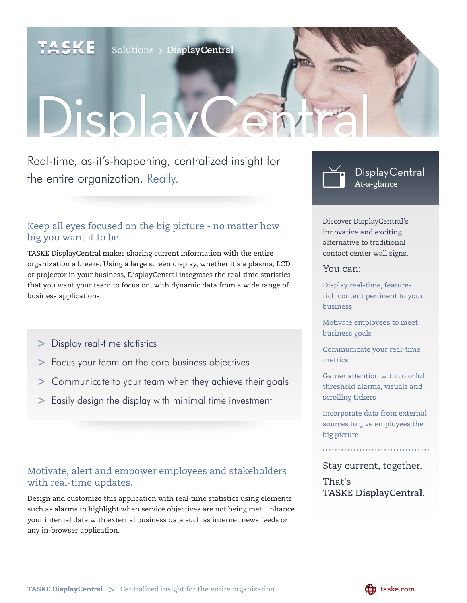SKE

Solutions **DisplayCentral**

# DisplayCe

Real-time, as-it's-happening, centralized insight for the entire organization. Really.

#### Keep all eyes focused on the big picture - no matter how big you want it to be.

TASKE DisplayCentral makes sharing current information with the entire organization a breeze. Using a large screen display, whether it's a plasma, LCD or projector in your business, DisplayCentral integrates the real-time statistics that you want your team to focus on, with dynamic data from a wide range of business applications.

- **>** Display real-time statistics
- **>** Focus your team on the core business objectives
- **>** Communicate to your team when they achieve their goals
- **>** Easily design the display with minimal time investment

#### Motivate, alert and empower employees and stakeholders with real-time updates.

Design and customize this application with real-time statistics using elements such as alarms to highlight when service objectives are not being met. Enhance your internal data with external business data such as internet news feeds or any in-browser application.



Discover DisplayCentral's innovative and exciting alternative to traditional contact center wall signs.

#### You can:

Display real-time, featurerich content pertinent to your business

Motivate employees to meet business goals

Communicate your real-time metrics

Garner attention with colorful threshold alarms, visuals and scrolling tickers

Incorporate data from external sources to give employees the big picture

Stay current, together.

That's **TASKE DisplayCentral**.